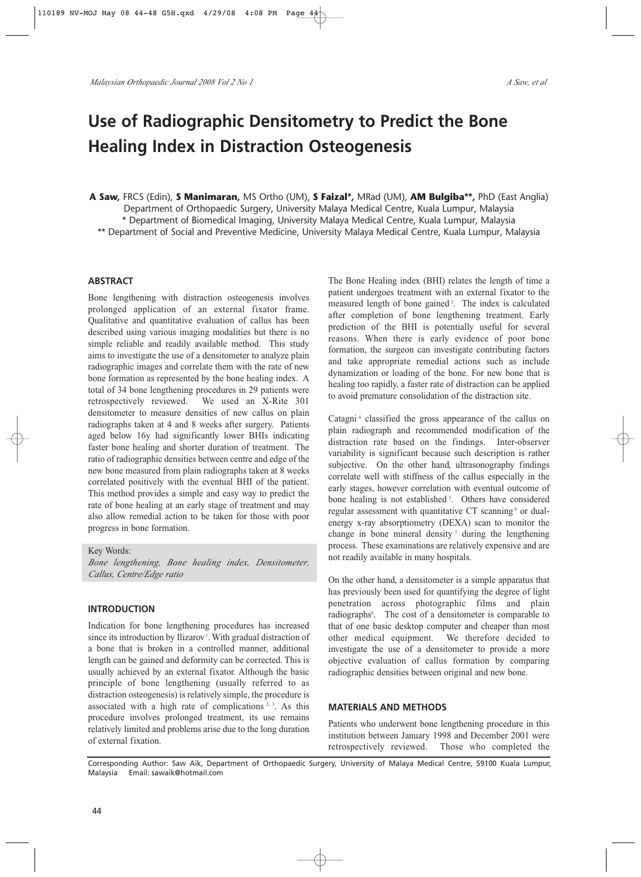# **Use of Radiographic Densitometry to Predict the Bone Healing Index in Distraction Osteogenesis**

**A Saw,** FRCS (Edin), **S Manimaran,** MS Ortho (UM), **S Faizal\*,** MRad (UM), **AM Bulgiba\*\*,** PhD (East Anglia) Department of Orthopaedic Surgery, University Malaya Medical Centre, Kuala Lumpur, Malaysia \* Department of Biomedical Imaging, University Malaya Medical Centre, Kuala Lumpur, Malaysia \*\* Department of Social and Preventive Medicine, University Malaya Medical Centre, Kuala Lumpur, Malaysia

## **ABSTRACT**

Bone lengthening with distraction osteogenesis involves prolonged application of an external fixator frame. Qualitative and quantitative evaluation of callus has been described using various imaging modalities but there is no simple reliable and readily available method. This study aims to investigate the use of a densitometer to analyze plain radiographic images and correlate them with the rate of new bone formation as represented by the bone healing index. A total of 34 bone lengthening procedures in 29 patients were retrospectively reviewed. We used an X-Rite 301 densitometer to measure densities of new callus on plain radiographs taken at 4 and 8 weeks after surgery. Patients aged below 16y had significantly lower BHIs indicating faster bone healing and shorter duration of treatment. The ratio of radiographic densities between centre and edge of the new bone measured from plain radiographs taken at 8 weeks correlated positively with the eventual BHI of the patient. This method provides a simple and easy way to predict the rate of bone healing at an early stage of treatment and may also allow remedial action to be taken for those with poor progress in bone formation.

Key Words:

*Bone lengthening, Bone healing index, Densitometer, Callus, Centre/Edge ratio*

# **INTRODUCTION**

Indication for bone lengthening procedures has increased since its introduction by Ilizarov<sup>1</sup>. With gradual distraction of a bone that is broken in a controlled manner, additional length can be gained and deformity can be corrected. This is usually achieved by an external fixator. Although the basic principle of bone lengthening (usually referred to as distraction osteogenesis) is relatively simple, the procedure is associated with a high rate of complications  $2, 3$ . As this procedure involves prolonged treatment, its use remains relatively limited and problems arise due to the long duration of external fixation.

The Bone Healing index (BHI) relates the length of time a patient undergoes treatment with an external fixator to the measured length of bone gained<sup>2</sup>. The index is calculated after completion of bone lengthening treatment. Early prediction of the BHI is potentially useful for several reasons. When there is early evidence of poor bone formation, the surgeon can investigate contributing factors and take appropriate remedial actions such as include dynamization or loading of the bone. For new bone that is healing too rapidly, a faster rate of distraction can be applied to avoid premature consolidation of the distraction site.

Catagni <sup>4</sup> classified the gross appearance of the callus on plain radiograph and recommended modification of the distraction rate based on the findings. Inter-observer variability is significant because such description is rather subjective. On the other hand, ultrasonography findings correlate well with stiffness of the callus especially in the early stages, however correlation with eventual outcome of bone healing is not established<sup>5</sup>. Others have considered regular assessment with quantitative CT scanning  $6$  or dualenergy x-ray absorptiometry (DEXA) scan to monitor the change in bone mineral density<sup>7</sup> during the lengthening process. These examinations are relatively expensive and are not readily available in many hospitals.

On the other hand, a densitometer is a simple apparatus that has previously been used for quantifying the degree of light penetration across photographic films and plain radiographs<sup>8</sup>. The cost of a densitometer is comparable to that of one basic desktop computer and cheaper than most other medical equipment. We therefore decided to investigate the use of a densitometer to provide a more objective evaluation of callus formation by comparing radiographic densities between original and new bone.

#### **MATERIALS AND METHODS**

Patients who underwent bone lengthening procedure in this institution between January 1998 and December 2001 were retrospectively reviewed. Those who completed the

Corresponding Author: Saw Aik, Department of Orthopaedic Surgery, University of Malaya Medical Centre, 59100 Kuala Lumpur, Malaysia Email: sawaik@hotmail.com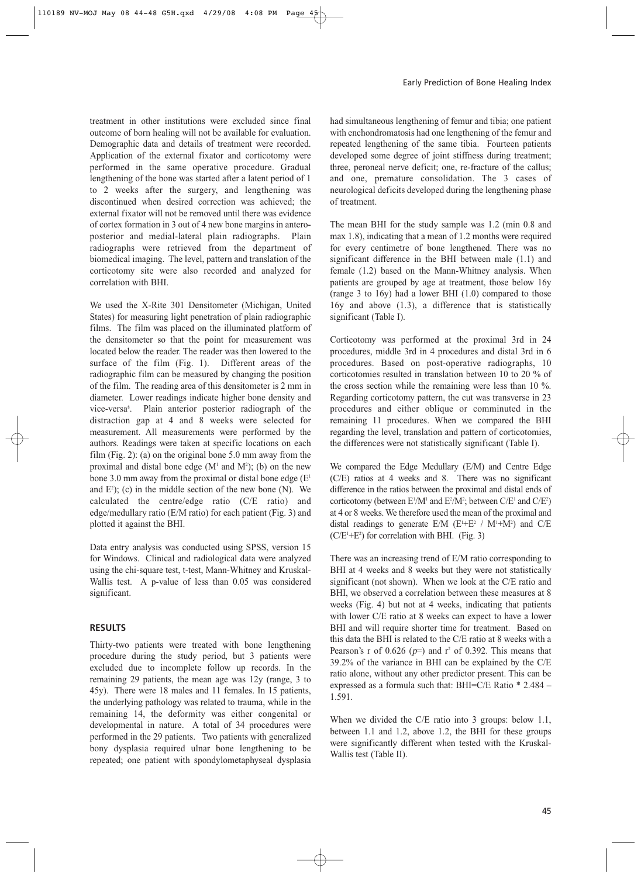treatment in other institutions were excluded since final outcome of born healing will not be available for evaluation. Demographic data and details of treatment were recorded. Application of the external fixator and corticotomy were performed in the same operative procedure. Gradual lengthening of the bone was started after a latent period of 1 to 2 weeks after the surgery, and lengthening was discontinued when desired correction was achieved; the external fixator will not be removed until there was evidence of cortex formation in 3 out of 4 new bone margins in anteroposterior and medial-lateral plain radiographs. Plain radiographs were retrieved from the department of biomedical imaging. The level, pattern and translation of the corticotomy site were also recorded and analyzed for correlation with BHI.

We used the X-Rite 301 Densitometer (Michigan, United States) for measuring light penetration of plain radiographic films. The film was placed on the illuminated platform of the densitometer so that the point for measurement was located below the reader. The reader was then lowered to the surface of the film (Fig. 1). Different areas of the radiographic film can be measured by changing the position of the film. The reading area of this densitometer is 2 mm in diameter. Lower readings indicate higher bone density and vice-versa<sup>8</sup>. Plain anterior posterior radiograph of the distraction gap at 4 and 8 weeks were selected for measurement. All measurements were performed by the authors. Readings were taken at specific locations on each film (Fig. 2): (a) on the original bone 5.0 mm away from the proximal and distal bone edge  $(M<sup>1</sup>$  and  $M<sup>2</sup>)$ ; (b) on the new bone 3.0 mm away from the proximal or distal bone edge  $(E<sup>1</sup>)$ and  $E^2$ ); (c) in the middle section of the new bone (N). We calculated the centre/edge ratio (C/E ratio) and edge/medullary ratio (E/M ratio) for each patient (Fig. 3) and plotted it against the BHI.

Data entry analysis was conducted using SPSS, version 15 for Windows. Clinical and radiological data were analyzed using the chi-square test, t-test, Mann-Whitney and Kruskal-Wallis test. A p-value of less than 0.05 was considered significant.

## **RESULTS**

Thirty-two patients were treated with bone lengthening procedure during the study period, but 3 patients were excluded due to incomplete follow up records. In the remaining 29 patients, the mean age was 12y (range, 3 to 45y). There were 18 males and 11 females. In 15 patients, the underlying pathology was related to trauma, while in the remaining 14, the deformity was either congenital or developmental in nature. A total of 34 procedures were performed in the 29 patients. Two patients with generalized bony dysplasia required ulnar bone lengthening to be repeated; one patient with spondylometaphyseal dysplasia had simultaneous lengthening of femur and tibia; one patient with enchondromatosis had one lengthening of the femur and repeated lengthening of the same tibia. Fourteen patients developed some degree of joint stiffness during treatment; three, peroneal nerve deficit; one, re-fracture of the callus; and one, premature consolidation. The 3 cases of neurological deficits developed during the lengthening phase of treatment.

The mean BHI for the study sample was 1.2 (min 0.8 and max 1.8), indicating that a mean of 1.2 months were required for every centimetre of bone lengthened. There was no significant difference in the BHI between male (1.1) and female (1.2) based on the Mann-Whitney analysis. When patients are grouped by age at treatment, those below 16y (range 3 to 16y) had a lower BHI (1.0) compared to those 16y and above (1.3), a difference that is statistically significant (Table I).

Corticotomy was performed at the proximal 3rd in 24 procedures, middle 3rd in 4 procedures and distal 3rd in 6 procedures. Based on post-operative radiographs, 10 corticotomies resulted in translation between 10 to 20 % of the cross section while the remaining were less than 10 %. Regarding corticotomy pattern, the cut was transverse in 23 procedures and either oblique or comminuted in the remaining 11 procedures. When we compared the BHI regarding the level, translation and pattern of corticotomies, the differences were not statistically significant (Table I).

We compared the Edge Medullary (E/M) and Centre Edge (C/E) ratios at 4 weeks and 8. There was no significant difference in the ratios between the proximal and distal ends of corticotomy (between  $E^{1}/M^{1}$  and  $E^{2}/M^{2}$ ; between  $C/E^{1}$  and  $C/E^{2}$ ) at 4 or 8 weeks. We therefore used the mean of the proximal and distal readings to generate  $E/M$  ( $E^1 + E^2$  /  $M^1 + M^2$ ) and C/E  $(C/E^{1}+E^{2})$  for correlation with BHI. (Fig. 3)

There was an increasing trend of E/M ratio corresponding to BHI at 4 weeks and 8 weeks but they were not statistically significant (not shown). When we look at the C/E ratio and BHI, we observed a correlation between these measures at 8 weeks (Fig. 4) but not at 4 weeks, indicating that patients with lower C/E ratio at 8 weeks can expect to have a lower BHI and will require shorter time for treatment. Based on this data the BHI is related to the C/E ratio at 8 weeks with a Pearson's r of 0.626 ( $p=$ ) and r<sup>2</sup> of 0.392. This means that 39.2% of the variance in BHI can be explained by the C/E ratio alone, without any other predictor present. This can be expressed as a formula such that: BHI=C/E Ratio \* 2.484 – 1.591.

When we divided the C/E ratio into 3 groups: below 1.1, between 1.1 and 1.2, above 1.2, the BHI for these groups were significantly different when tested with the Kruskal-Wallis test (Table II).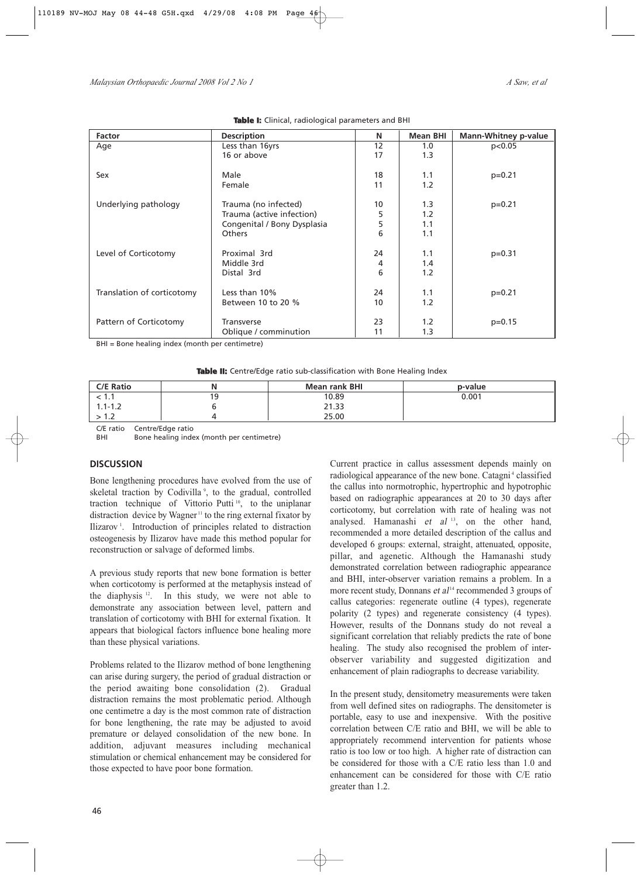| <b>Factor</b>              | <b>Description</b>          | N  | <b>Mean BHI</b> | <b>Mann-Whitney p-value</b> |
|----------------------------|-----------------------------|----|-----------------|-----------------------------|
| Age                        | Less than 16yrs             | 12 | 1.0             | p<0.05                      |
|                            | 16 or above                 | 17 | 1.3             |                             |
| Sex                        | Male                        | 18 | 1.1             | $p=0.21$                    |
|                            | Female                      | 11 | 1.2             |                             |
| Underlying pathology       | Trauma (no infected)        | 10 | 1.3             | $p=0.21$                    |
|                            | Trauma (active infection)   | 5  | 1.2             |                             |
|                            | Congenital / Bony Dysplasia | 5  | 1.1             |                             |
|                            | <b>Others</b>               | 6  | 1.1             |                             |
| Level of Corticotomy       | Proximal 3rd                | 24 | 1.1             | $p=0.31$                    |
|                            | Middle 3rd                  | 4  | 1.4             |                             |
|                            | Distal 3rd                  | 6  | 1.2             |                             |
| Translation of corticotomy | Less than 10%               | 24 | 1.1             | $p=0.21$                    |
|                            | Between 10 to 20 %          | 10 | 1.2             |                             |
| Pattern of Corticotomy     | <b>Transverse</b>           | 23 | 1.2             | $p=0.15$                    |
|                            | Oblique / comminution       | 11 | 1.3             |                             |

#### **Table I:** Clinical, radiological parameters and BHI

BHI = Bone healing index (month per centimetre)

**Table II:** Centre/Edge ratio sub-classification with Bone Healing Index

| <b>C/E Ratio</b> |   | <b>Mean rank BHI</b> | p-value |
|------------------|---|----------------------|---------|
| < 1.1            | 9 | 10.89                | 0.001   |
| $1.1 - 1.2$      |   | 21.33                |         |
| 2 I.Z            |   | 25.00                |         |

C/E ratio Centre/Edge ratio

BHI Bone healing index (month per centimetre)

## **DISCUSSION**

Bone lengthening procedures have evolved from the use of skeletal traction by Codivilla<sup>9</sup>, to the gradual, controlled traction technique of Vittorio Putti<sup>10</sup>, to the uniplanar distraction device by Wagner <sup>11</sup> to the ring external fixator by Ilizarov<sup>1</sup>. Introduction of principles related to distraction osteogenesis by Ilizarov have made this method popular for reconstruction or salvage of deformed limbs.

A previous study reports that new bone formation is better when corticotomy is performed at the metaphysis instead of the diaphysis 12. In this study, we were not able to demonstrate any association between level, pattern and translation of corticotomy with BHI for external fixation. It appears that biological factors influence bone healing more than these physical variations.

Problems related to the Ilizarov method of bone lengthening can arise during surgery, the period of gradual distraction or the period awaiting bone consolidation (2). Gradual distraction remains the most problematic period. Although one centimetre a day is the most common rate of distraction for bone lengthening, the rate may be adjusted to avoid premature or delayed consolidation of the new bone. In addition, adjuvant measures including mechanical stimulation or chemical enhancement may be considered for those expected to have poor bone formation.

Current practice in callus assessment depends mainly on radiological appearance of the new bone. Catagni<sup>4</sup> classified the callus into normotrophic, hypertrophic and hypotrophic based on radiographic appearances at 20 to 30 days after corticotomy, but correlation with rate of healing was not analysed. Hamanashi et al <sup>13</sup>, on the other hand, recommended a more detailed description of the callus and developed 6 groups: external, straight, attenuated, opposite, pillar, and agenetic. Although the Hamanashi study demonstrated correlation between radiographic appearance and BHI, inter-observer variation remains a problem. In a more recent study, Donnans et  $al<sup>14</sup>$  recommended 3 groups of callus categories: regenerate outline (4 types), regenerate polarity (2 types) and regenerate consistency (4 types). However, results of the Donnans study do not reveal a significant correlation that reliably predicts the rate of bone healing. The study also recognised the problem of interobserver variability and suggested digitization and enhancement of plain radiographs to decrease variability.

In the present study, densitometry measurements were taken from well defined sites on radiographs. The densitometer is portable, easy to use and inexpensive. With the positive correlation between C/E ratio and BHI, we will be able to appropriately recommend intervention for patients whose ratio is too low or too high. A higher rate of distraction can be considered for those with a C/E ratio less than 1.0 and enhancement can be considered for those with C/E ratio greater than 1.2.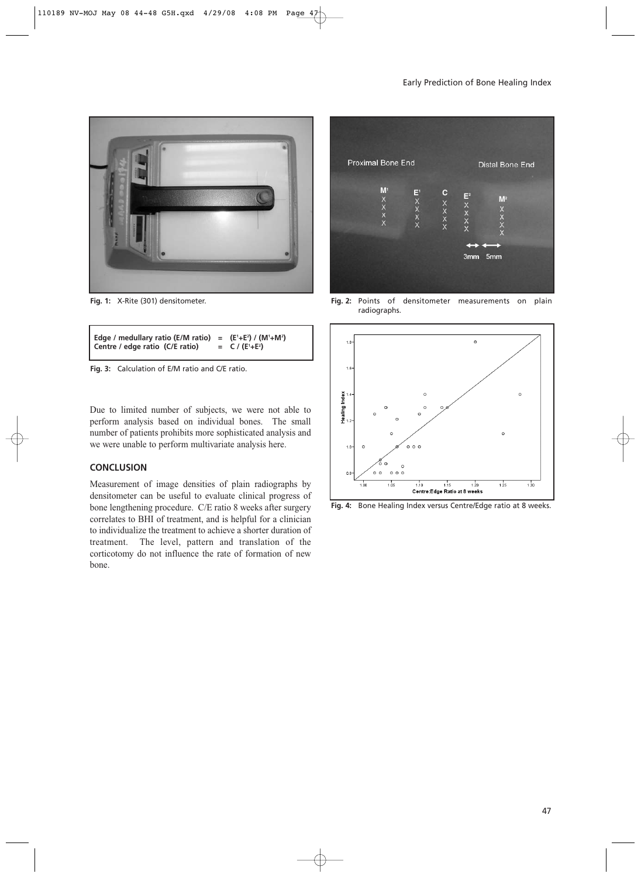

**Fig. 1:** X-Rite (301) densitometer.

```
Edge / medullary ratio (E/M ratio) = (E1
+E2
) / (M1
+M2
)
Centre / edge ratio (C/E ratio) =
                                              +E2
)
```
**Fig. 3:** Calculation of E/M ratio and C/E ratio.

Due to limited number of subjects, we were not able to perform analysis based on individual bones. The small number of patients prohibits more sophisticated analysis and we were unable to perform multivariate analysis here.

## **CONCLUSION**

Measurement of image densities of plain radiographs by densitometer can be useful to evaluate clinical progress of bone lengthening procedure. C/E ratio 8 weeks after surgery correlates to BHI of treatment, and is helpful for a clinician to individualize the treatment to achieve a shorter duration of treatment. The level, pattern and translation of the corticotomy do not influence the rate of formation of new bone.



**Fig. 2:** Points of densitometer measurements on plain radiographs.



**Fig. 4:** Bone Healing Index versus Centre/Edge ratio at 8 weeks.